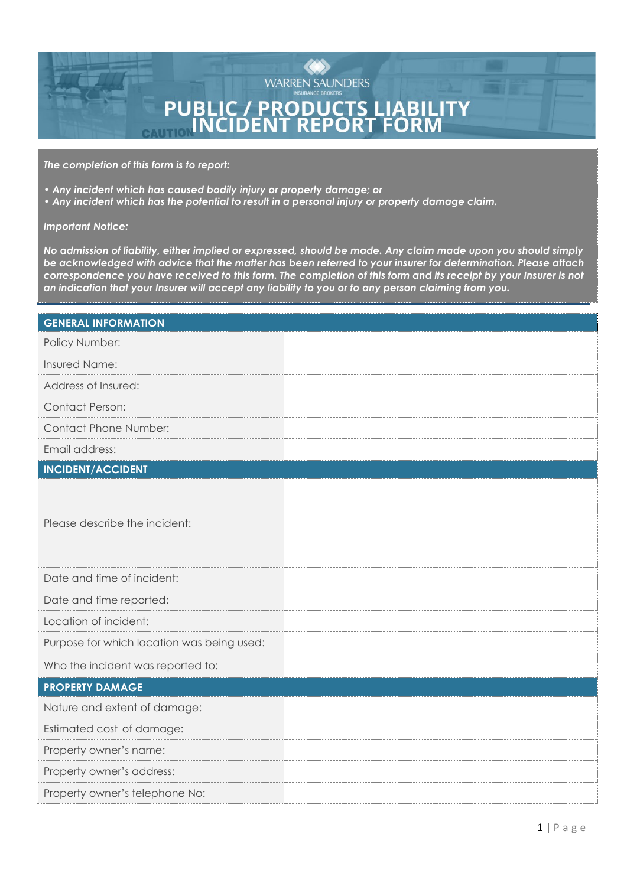

*The completion of this form is to report:* 

- *Any incident which has caused bodily injury or property damage; or*
- *Any incident which has the potential to result in a personal injury or property damage claim.*

## *Important Notice:*

*No admission of liability, either implied or expressed, should be made. Any claim made upon you should simply be acknowledged with advice that the matter has been referred to your insurer for determination. Please attach correspondence you have received to this form. The completion of this form and its receipt by your Insurer is not an indication that your Insurer will accept any liability to you or to any person claiming from you.*

| <b>GENERAL INFORMATION</b>                 |  |  |  |  |
|--------------------------------------------|--|--|--|--|
| Policy Number:                             |  |  |  |  |
| Insured Name:                              |  |  |  |  |
| Address of Insured:                        |  |  |  |  |
| <b>Contact Person:</b>                     |  |  |  |  |
| <b>Contact Phone Number:</b>               |  |  |  |  |
| Email address:                             |  |  |  |  |
| <b>INCIDENT/ACCIDENT</b>                   |  |  |  |  |
| Please describe the incident:              |  |  |  |  |
| Date and time of incident:                 |  |  |  |  |
| Date and time reported:                    |  |  |  |  |
| Location of incident:                      |  |  |  |  |
| Purpose for which location was being used: |  |  |  |  |
| Who the incident was reported to:          |  |  |  |  |
| <b>PROPERTY DAMAGE</b>                     |  |  |  |  |
| Nature and extent of damage:               |  |  |  |  |
| Estimated cost of damage:                  |  |  |  |  |
| Property owner's name:                     |  |  |  |  |
| Property owner's address:                  |  |  |  |  |
| Property owner's telephone No:             |  |  |  |  |